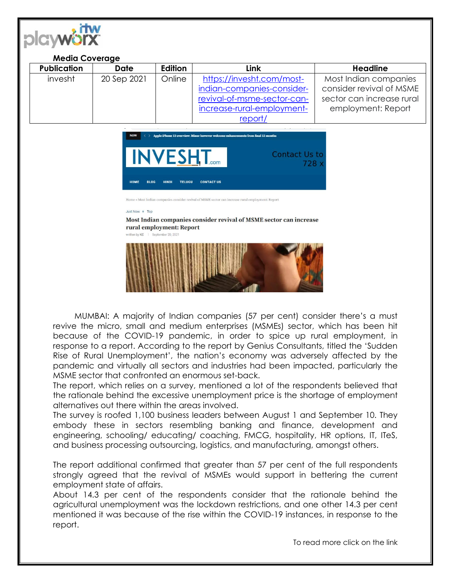

## **Media Coverage**

| <b>Publication</b> | Date        | Edition | Link                        | <b>Headline</b>           |
|--------------------|-------------|---------|-----------------------------|---------------------------|
| invesht            | 20 Sep 2021 | Online  | https://invesht.com/most-   | Most Indian companies     |
|                    |             |         | indian-companies-consider-  | consider revival of MSME  |
|                    |             |         | revival-of-msme-sector-can- | sector can increase rural |
|                    |             |         | increase-rural-employment-  | employment: Report        |
|                    |             |         | report/                     |                           |

**Contact Us to** 728 x

Home » Most Indian companies consider revival of MSME sector can increase rural employment: Report

**CONTACT US** 

**TELUGU** 

HINDI

## Just Now + Top

## Most Indian companies consider revival of MSME sector can increase rural employment: Report





MUMBAI: A majority of Indian companies (57 per cent) consider there's a must revive the micro, small and medium enterprises (MSMEs) sector, which has been hit because of the COVID-19 pandemic, in order to spice up rural employment, in response to a report. According to the report by Genius Consultants, titled the 'Sudden Rise of Rural Unemployment', the nation's economy was adversely affected by the pandemic and virtually all sectors and industries had been impacted, particularly the MSME sector that confronted an enormous set-back.

The report, which relies on a survey, mentioned a lot of the respondents believed that the rationale behind the excessive unemployment price is the shortage of employment alternatives out there within the areas involved.

The survey is roofed 1,100 business leaders between August 1 and September 10. They embody these in sectors resembling banking and finance, development and engineering, schooling/ educating/ coaching, FMCG, hospitality, HR options, IT, ITeS, and business processing outsourcing, logistics, and manufacturing, amongst others.

The report additional confirmed that greater than 57 per cent of the full respondents strongly agreed that the revival of MSMEs would support in bettering the current employment state of affairs.

About 14.3 per cent of the respondents consider that the rationale behind the agricultural unemployment was the lockdown restrictions, and one other 14.3 per cent mentioned it was because of the rise within the COVID-19 instances, in response to the report.

To read more click on the link